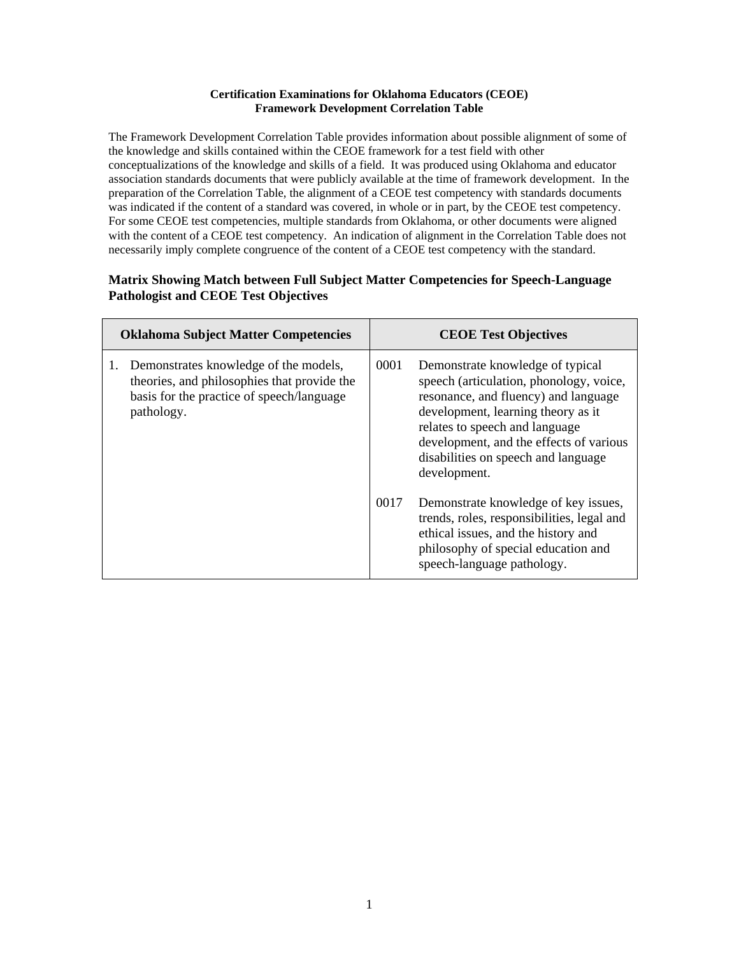## **Certification Examinations for Oklahoma Educators (CEOE) Framework Development Correlation Table**

The Framework Development Correlation Table provides information about possible alignment of some of the knowledge and skills contained within the CEOE framework for a test field with other conceptualizations of the knowledge and skills of a field. It was produced using Oklahoma and educator association standards documents that were publicly available at the time of framework development. In the preparation of the Correlation Table, the alignment of a CEOE test competency with standards documents was indicated if the content of a standard was covered, in whole or in part, by the CEOE test competency. For some CEOE test competencies, multiple standards from Oklahoma, or other documents were aligned with the content of a CEOE test competency. An indication of alignment in the Correlation Table does not necessarily imply complete congruence of the content of a CEOE test competency with the standard.

## **Matrix Showing Match between Full Subject Matter Competencies for Speech-Language Pathologist and CEOE Test Objectives**

| <b>Oklahoma Subject Matter Competencies</b>                                                                                                     | <b>CEOE Test Objectives</b>                                                                                                                                                                                                                                                                           |  |
|-------------------------------------------------------------------------------------------------------------------------------------------------|-------------------------------------------------------------------------------------------------------------------------------------------------------------------------------------------------------------------------------------------------------------------------------------------------------|--|
| Demonstrates knowledge of the models,<br>theories, and philosophies that provide the<br>basis for the practice of speech/language<br>pathology. | 0001<br>Demonstrate knowledge of typical<br>speech (articulation, phonology, voice,<br>resonance, and fluency) and language<br>development, learning theory as it<br>relates to speech and language<br>development, and the effects of various<br>disabilities on speech and language<br>development. |  |
|                                                                                                                                                 | 0017<br>Demonstrate knowledge of key issues,<br>trends, roles, responsibilities, legal and<br>ethical issues, and the history and<br>philosophy of special education and<br>speech-language pathology.                                                                                                |  |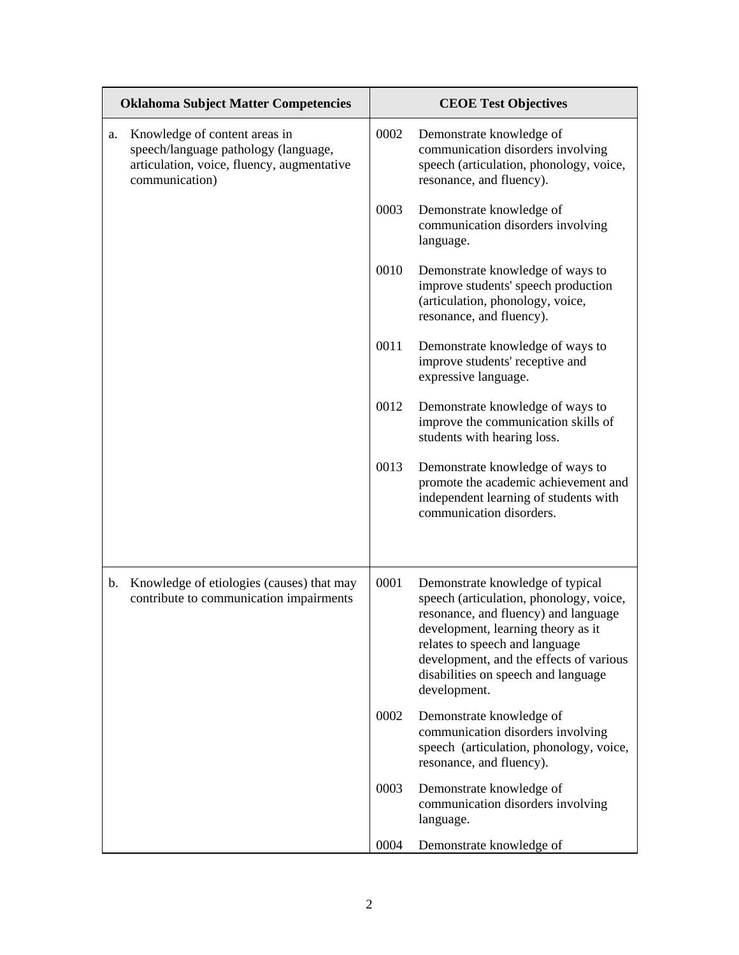| <b>Oklahoma Subject Matter Competencies</b> |                                                                                                                                       | <b>CEOE Test Objectives</b> |                                                                                                                                                                                                                                                                                               |  |
|---------------------------------------------|---------------------------------------------------------------------------------------------------------------------------------------|-----------------------------|-----------------------------------------------------------------------------------------------------------------------------------------------------------------------------------------------------------------------------------------------------------------------------------------------|--|
| a.                                          | Knowledge of content areas in<br>speech/language pathology (language,<br>articulation, voice, fluency, augmentative<br>communication) | 0002                        | Demonstrate knowledge of<br>communication disorders involving<br>speech (articulation, phonology, voice,<br>resonance, and fluency).                                                                                                                                                          |  |
|                                             |                                                                                                                                       | 0003                        | Demonstrate knowledge of<br>communication disorders involving<br>language.                                                                                                                                                                                                                    |  |
|                                             |                                                                                                                                       | 0010                        | Demonstrate knowledge of ways to<br>improve students' speech production<br>(articulation, phonology, voice,<br>resonance, and fluency).                                                                                                                                                       |  |
|                                             |                                                                                                                                       | 0011                        | Demonstrate knowledge of ways to<br>improve students' receptive and<br>expressive language.                                                                                                                                                                                                   |  |
|                                             |                                                                                                                                       | 0012                        | Demonstrate knowledge of ways to<br>improve the communication skills of<br>students with hearing loss.                                                                                                                                                                                        |  |
|                                             |                                                                                                                                       | 0013                        | Demonstrate knowledge of ways to<br>promote the academic achievement and<br>independent learning of students with<br>communication disorders.                                                                                                                                                 |  |
| b.                                          | Knowledge of etiologies (causes) that may<br>contribute to communication impairments                                                  | 0001                        | Demonstrate knowledge of typical<br>speech (articulation, phonology, voice,<br>resonance, and fluency) and language<br>development, learning theory as it<br>relates to speech and language<br>development, and the effects of various<br>disabilities on speech and language<br>development. |  |
|                                             |                                                                                                                                       | 0002                        | Demonstrate knowledge of<br>communication disorders involving<br>speech (articulation, phonology, voice,<br>resonance, and fluency).                                                                                                                                                          |  |
|                                             |                                                                                                                                       | 0003                        | Demonstrate knowledge of<br>communication disorders involving<br>language.                                                                                                                                                                                                                    |  |
|                                             |                                                                                                                                       | 0004                        | Demonstrate knowledge of                                                                                                                                                                                                                                                                      |  |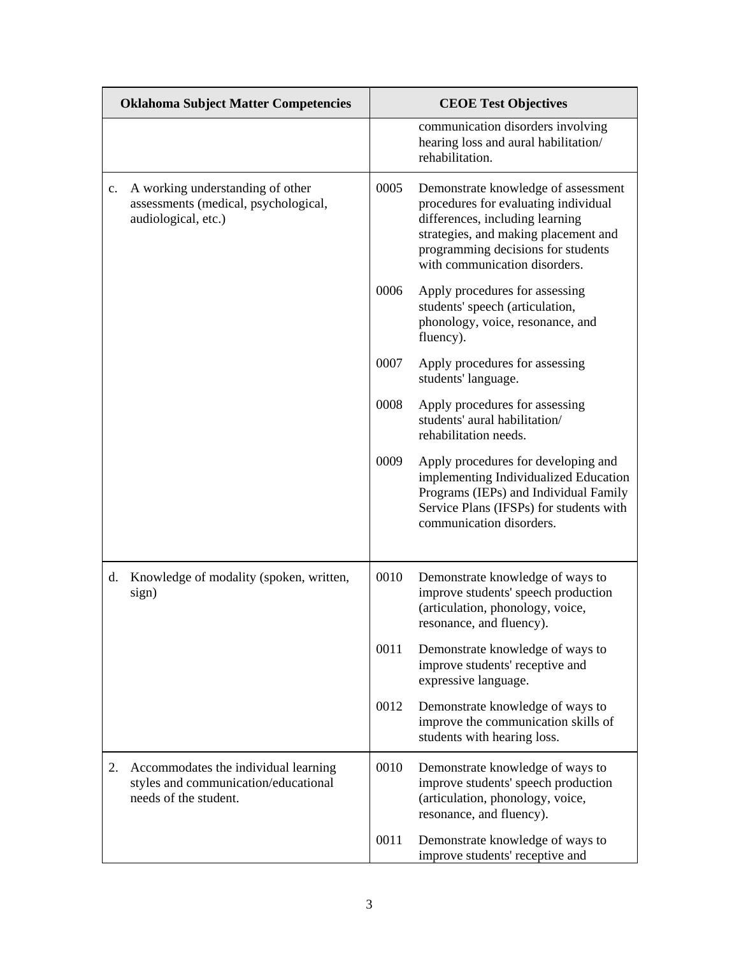|    | <b>Oklahoma Subject Matter Competencies</b>                                                           | <b>CEOE Test Objectives</b> |                                                                                                                                                                                                                               |
|----|-------------------------------------------------------------------------------------------------------|-----------------------------|-------------------------------------------------------------------------------------------------------------------------------------------------------------------------------------------------------------------------------|
|    |                                                                                                       |                             | communication disorders involving<br>hearing loss and aural habilitation/<br>rehabilitation.                                                                                                                                  |
| c. | A working understanding of other<br>assessments (medical, psychological,<br>audiological, etc.)       | 0005                        | Demonstrate knowledge of assessment<br>procedures for evaluating individual<br>differences, including learning<br>strategies, and making placement and<br>programming decisions for students<br>with communication disorders. |
|    |                                                                                                       | 0006                        | Apply procedures for assessing<br>students' speech (articulation,<br>phonology, voice, resonance, and<br>fluency).                                                                                                            |
|    |                                                                                                       | 0007                        | Apply procedures for assessing<br>students' language.                                                                                                                                                                         |
|    |                                                                                                       | 0008                        | Apply procedures for assessing<br>students' aural habilitation/<br>rehabilitation needs.                                                                                                                                      |
|    |                                                                                                       | 0009                        | Apply procedures for developing and<br>implementing Individualized Education<br>Programs (IEPs) and Individual Family<br>Service Plans (IFSPs) for students with<br>communication disorders.                                  |
| d. | Knowledge of modality (spoken, written,<br>sign)                                                      | 0010                        | Demonstrate knowledge of ways to<br>improve students' speech production<br>(articulation, phonology, voice,<br>resonance, and fluency).                                                                                       |
|    |                                                                                                       | 0011                        | Demonstrate knowledge of ways to<br>improve students' receptive and<br>expressive language.                                                                                                                                   |
|    |                                                                                                       | 0012                        | Demonstrate knowledge of ways to<br>improve the communication skills of<br>students with hearing loss.                                                                                                                        |
| 2. | Accommodates the individual learning<br>styles and communication/educational<br>needs of the student. | 0010                        | Demonstrate knowledge of ways to<br>improve students' speech production<br>(articulation, phonology, voice,<br>resonance, and fluency).                                                                                       |
|    |                                                                                                       | 0011                        | Demonstrate knowledge of ways to<br>improve students' receptive and                                                                                                                                                           |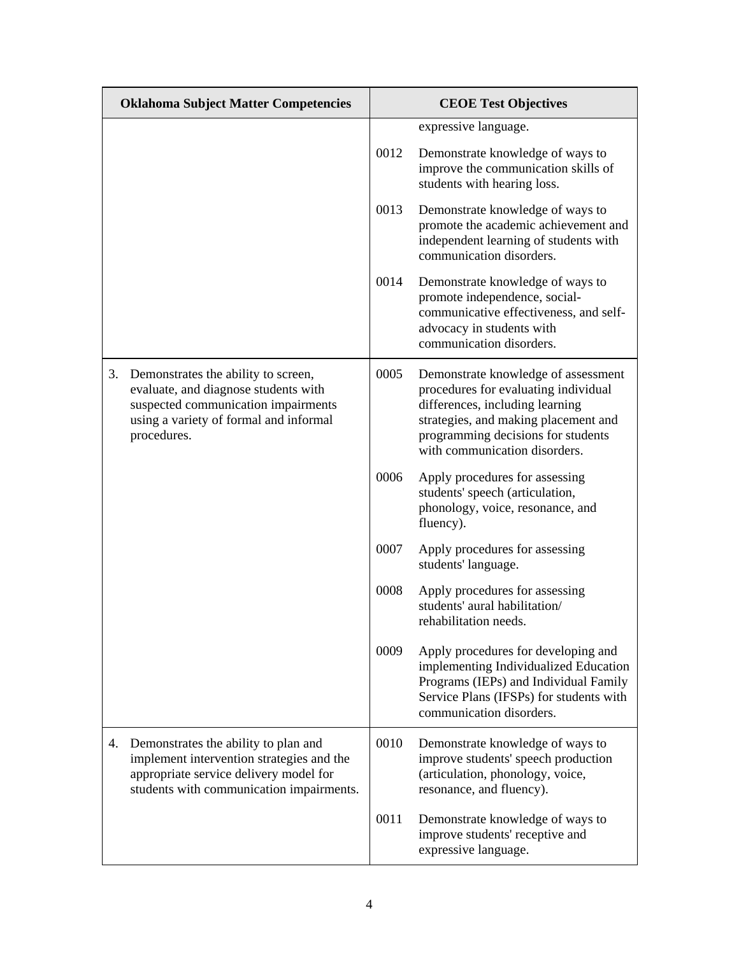| <b>Oklahoma Subject Matter Competencies</b> |                                                                                                                                                                             | <b>CEOE Test Objectives</b> |                                                                                                                                                                                                                               |
|---------------------------------------------|-----------------------------------------------------------------------------------------------------------------------------------------------------------------------------|-----------------------------|-------------------------------------------------------------------------------------------------------------------------------------------------------------------------------------------------------------------------------|
|                                             |                                                                                                                                                                             |                             | expressive language.                                                                                                                                                                                                          |
|                                             |                                                                                                                                                                             | 0012                        | Demonstrate knowledge of ways to<br>improve the communication skills of<br>students with hearing loss.                                                                                                                        |
|                                             |                                                                                                                                                                             | 0013                        | Demonstrate knowledge of ways to<br>promote the academic achievement and<br>independent learning of students with<br>communication disorders.                                                                                 |
|                                             |                                                                                                                                                                             | 0014                        | Demonstrate knowledge of ways to<br>promote independence, social-<br>communicative effectiveness, and self-<br>advocacy in students with<br>communication disorders.                                                          |
| 3.                                          | Demonstrates the ability to screen,<br>evaluate, and diagnose students with<br>suspected communication impairments<br>using a variety of formal and informal<br>procedures. | 0005                        | Demonstrate knowledge of assessment<br>procedures for evaluating individual<br>differences, including learning<br>strategies, and making placement and<br>programming decisions for students<br>with communication disorders. |
|                                             |                                                                                                                                                                             | 0006                        | Apply procedures for assessing<br>students' speech (articulation,<br>phonology, voice, resonance, and<br>fluency).                                                                                                            |
|                                             |                                                                                                                                                                             | 0007                        | Apply procedures for assessing<br>students' language.                                                                                                                                                                         |
|                                             |                                                                                                                                                                             | 0008                        | Apply procedures for assessing<br>students' aural habilitation/<br>rehabilitation needs.                                                                                                                                      |
|                                             |                                                                                                                                                                             | 0009                        | Apply procedures for developing and<br>implementing Individualized Education<br>Programs (IEPs) and Individual Family<br>Service Plans (IFSPs) for students with<br>communication disorders.                                  |
| 4.                                          | Demonstrates the ability to plan and<br>implement intervention strategies and the<br>appropriate service delivery model for<br>students with communication impairments.     | 0010                        | Demonstrate knowledge of ways to<br>improve students' speech production<br>(articulation, phonology, voice,<br>resonance, and fluency).                                                                                       |
|                                             |                                                                                                                                                                             | 0011                        | Demonstrate knowledge of ways to<br>improve students' receptive and<br>expressive language.                                                                                                                                   |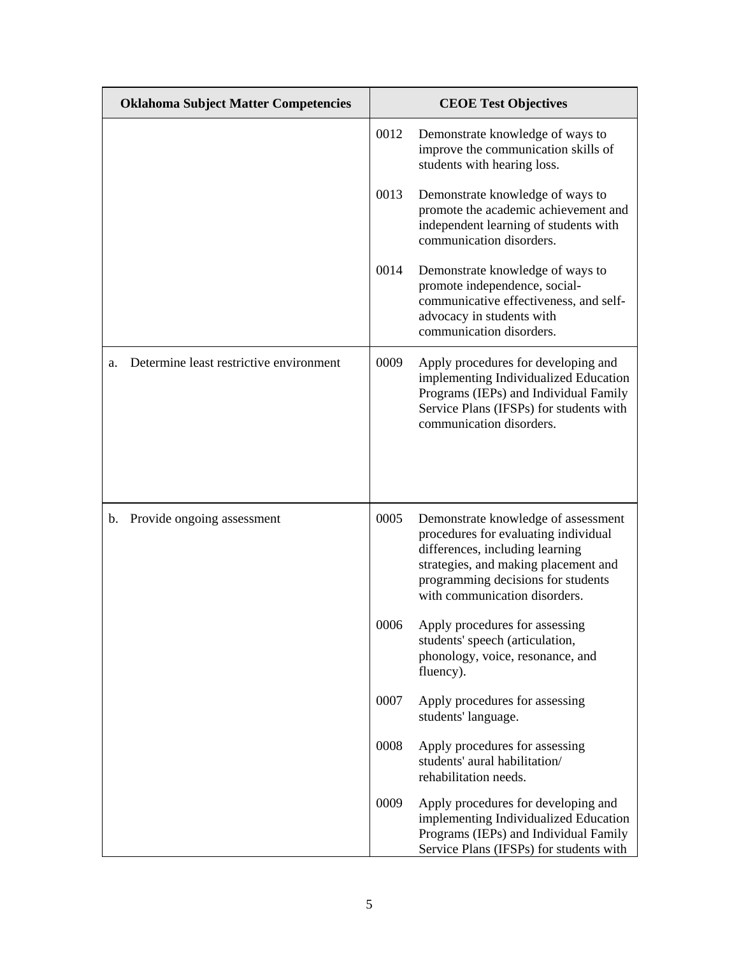| <b>Oklahoma Subject Matter Competencies</b>   |      | <b>CEOE Test Objectives</b>                                                                                                                                                                                                   |  |
|-----------------------------------------------|------|-------------------------------------------------------------------------------------------------------------------------------------------------------------------------------------------------------------------------------|--|
|                                               | 0012 | Demonstrate knowledge of ways to<br>improve the communication skills of<br>students with hearing loss.                                                                                                                        |  |
|                                               | 0013 | Demonstrate knowledge of ways to<br>promote the academic achievement and<br>independent learning of students with<br>communication disorders.                                                                                 |  |
|                                               | 0014 | Demonstrate knowledge of ways to<br>promote independence, social-<br>communicative effectiveness, and self-<br>advocacy in students with<br>communication disorders.                                                          |  |
| Determine least restrictive environment<br>a. | 0009 | Apply procedures for developing and<br>implementing Individualized Education<br>Programs (IEPs) and Individual Family<br>Service Plans (IFSPs) for students with<br>communication disorders.                                  |  |
|                                               |      |                                                                                                                                                                                                                               |  |
| Provide ongoing assessment<br>b.              | 0005 | Demonstrate knowledge of assessment<br>procedures for evaluating individual<br>differences, including learning<br>strategies, and making placement and<br>programming decisions for students<br>with communication disorders. |  |
|                                               | 0006 | Apply procedures for assessing<br>students' speech (articulation,<br>phonology, voice, resonance, and<br>fluency).                                                                                                            |  |
|                                               | 0007 | Apply procedures for assessing<br>students' language.                                                                                                                                                                         |  |
|                                               | 0008 | Apply procedures for assessing<br>students' aural habilitation/<br>rehabilitation needs.                                                                                                                                      |  |
|                                               | 0009 | Apply procedures for developing and<br>implementing Individualized Education<br>Programs (IEPs) and Individual Family<br>Service Plans (IFSPs) for students with                                                              |  |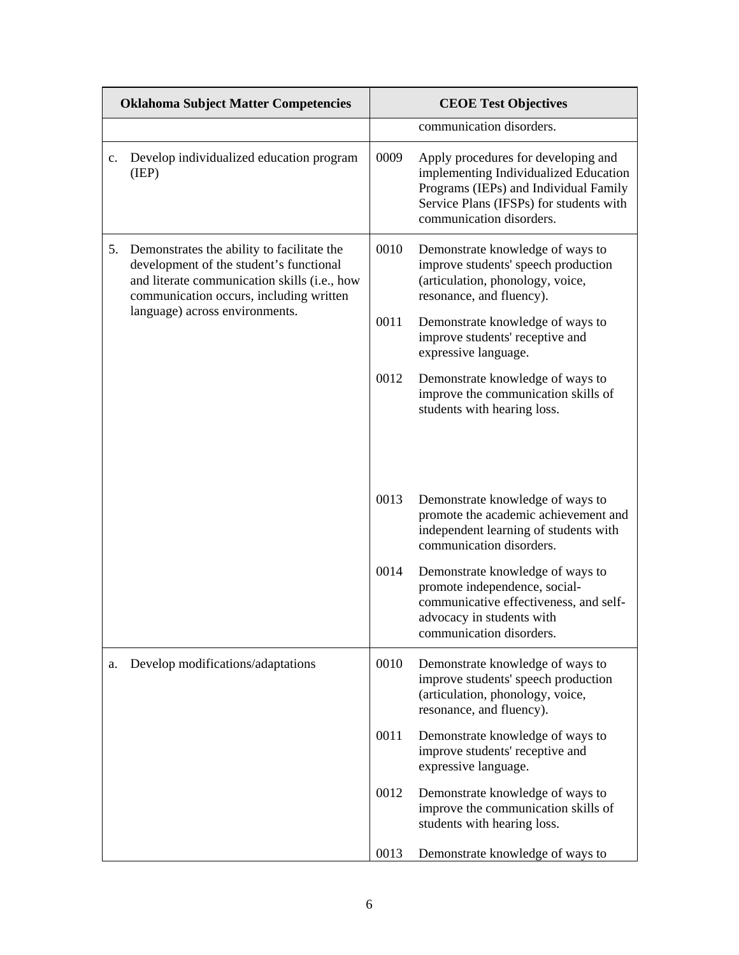|    | <b>Oklahoma Subject Matter Competencies</b>                                                                                                                                                                        | <b>CEOE Test Objectives</b> |                                                                                                                                                                                              |
|----|--------------------------------------------------------------------------------------------------------------------------------------------------------------------------------------------------------------------|-----------------------------|----------------------------------------------------------------------------------------------------------------------------------------------------------------------------------------------|
|    |                                                                                                                                                                                                                    |                             | communication disorders.                                                                                                                                                                     |
| c. | Develop individualized education program<br>(IEP)                                                                                                                                                                  | 0009                        | Apply procedures for developing and<br>implementing Individualized Education<br>Programs (IEPs) and Individual Family<br>Service Plans (IFSPs) for students with<br>communication disorders. |
| 5. | Demonstrates the ability to facilitate the<br>development of the student's functional<br>and literate communication skills (i.e., how<br>communication occurs, including written<br>language) across environments. | 0010                        | Demonstrate knowledge of ways to<br>improve students' speech production<br>(articulation, phonology, voice,<br>resonance, and fluency).                                                      |
|    |                                                                                                                                                                                                                    | 0011                        | Demonstrate knowledge of ways to<br>improve students' receptive and<br>expressive language.                                                                                                  |
|    |                                                                                                                                                                                                                    | 0012                        | Demonstrate knowledge of ways to<br>improve the communication skills of<br>students with hearing loss.                                                                                       |
|    |                                                                                                                                                                                                                    |                             |                                                                                                                                                                                              |
|    |                                                                                                                                                                                                                    | 0013                        | Demonstrate knowledge of ways to<br>promote the academic achievement and<br>independent learning of students with<br>communication disorders.                                                |
|    |                                                                                                                                                                                                                    | 0014                        | Demonstrate knowledge of ways to<br>promote independence, social-<br>communicative effectiveness, and self-<br>advocacy in students with<br>communication disorders.                         |
| a. | Develop modifications/adaptations                                                                                                                                                                                  | 0010                        | Demonstrate knowledge of ways to<br>improve students' speech production<br>(articulation, phonology, voice,<br>resonance, and fluency).                                                      |
|    |                                                                                                                                                                                                                    | 0011                        | Demonstrate knowledge of ways to<br>improve students' receptive and<br>expressive language.                                                                                                  |
|    |                                                                                                                                                                                                                    | 0012                        | Demonstrate knowledge of ways to<br>improve the communication skills of<br>students with hearing loss.                                                                                       |
|    |                                                                                                                                                                                                                    | 0013                        | Demonstrate knowledge of ways to                                                                                                                                                             |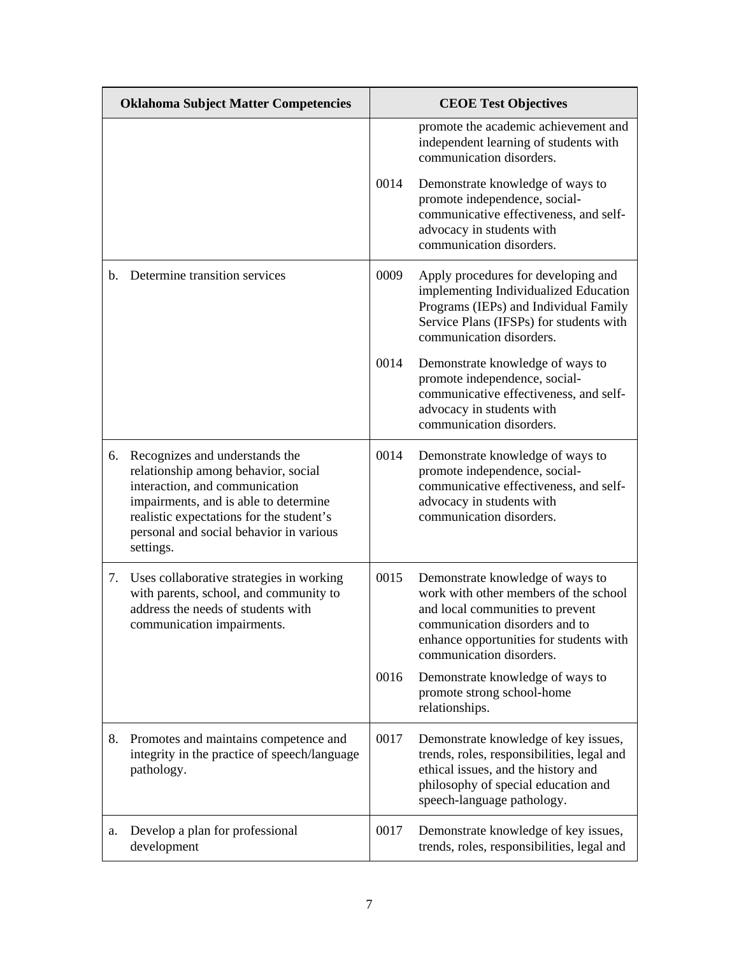| <b>Oklahoma Subject Matter Competencies</b> |                                                                                                                                                                                                                                                      | <b>CEOE Test Objectives</b> |                                                                                                                                                                                                                        |
|---------------------------------------------|------------------------------------------------------------------------------------------------------------------------------------------------------------------------------------------------------------------------------------------------------|-----------------------------|------------------------------------------------------------------------------------------------------------------------------------------------------------------------------------------------------------------------|
|                                             |                                                                                                                                                                                                                                                      |                             | promote the academic achievement and<br>independent learning of students with<br>communication disorders.                                                                                                              |
|                                             |                                                                                                                                                                                                                                                      | 0014                        | Demonstrate knowledge of ways to<br>promote independence, social-<br>communicative effectiveness, and self-<br>advocacy in students with<br>communication disorders.                                                   |
| $\mathbf{b}$ .                              | Determine transition services                                                                                                                                                                                                                        | 0009                        | Apply procedures for developing and<br>implementing Individualized Education<br>Programs (IEPs) and Individual Family<br>Service Plans (IFSPs) for students with<br>communication disorders.                           |
|                                             |                                                                                                                                                                                                                                                      | 0014                        | Demonstrate knowledge of ways to<br>promote independence, social-<br>communicative effectiveness, and self-<br>advocacy in students with<br>communication disorders.                                                   |
| 6.                                          | Recognizes and understands the<br>relationship among behavior, social<br>interaction, and communication<br>impairments, and is able to determine<br>realistic expectations for the student's<br>personal and social behavior in various<br>settings. | 0014                        | Demonstrate knowledge of ways to<br>promote independence, social-<br>communicative effectiveness, and self-<br>advocacy in students with<br>communication disorders.                                                   |
| 7.                                          | Uses collaborative strategies in working<br>with parents, school, and community to<br>address the needs of students with<br>communication impairments.                                                                                               | 0015                        | Demonstrate knowledge of ways to<br>work with other members of the school<br>and local communities to prevent<br>communication disorders and to<br>enhance opportunities for students with<br>communication disorders. |
|                                             |                                                                                                                                                                                                                                                      | 0016                        | Demonstrate knowledge of ways to<br>promote strong school-home<br>relationships.                                                                                                                                       |
| 8.                                          | Promotes and maintains competence and<br>integrity in the practice of speech/language<br>pathology.                                                                                                                                                  | 0017                        | Demonstrate knowledge of key issues,<br>trends, roles, responsibilities, legal and<br>ethical issues, and the history and<br>philosophy of special education and<br>speech-language pathology.                         |
| a.                                          | Develop a plan for professional<br>development                                                                                                                                                                                                       | 0017                        | Demonstrate knowledge of key issues,<br>trends, roles, responsibilities, legal and                                                                                                                                     |